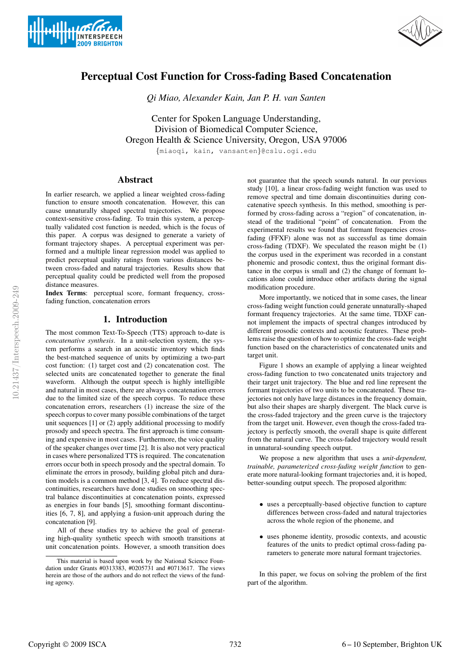



# Perceptual Cost Function for Cross-fading Based Concatenation

*Qi Miao, Alexander Kain, Jan P. H. van Santen*

Center for Spoken Language Understanding, Division of Biomedical Computer Science, Oregon Health & Science University, Oregon, USA 97006

{miaoqi, kain, vansanten}@cslu.ogi.edu

## Abstract

In earlier research, we applied a linear weighted cross-fading function to ensure smooth concatenation. However, this can cause unnaturally shaped spectral trajectories. We propose context-sensitive cross-fading. To train this system, a perceptually validated cost function is needed, which is the focus of this paper. A corpus was designed to generate a variety of formant trajectory shapes. A perceptual experiment was performed and a multiple linear regression model was applied to predict perceptual quality ratings from various distances between cross-faded and natural trajectories. Results show that perceptual quality could be predicted well from the proposed distance measures.

Index Terms: perceptual score, formant frequency, crossfading function, concatenation errors

## 1. Introduction

The most common Text-To-Speech (TTS) approach to-date is *concatenative synthesis*. In a unit-selection system, the system performs a search in an acoustic inventory which finds the best-matched sequence of units by optimizing a two-part cost function: (1) target cost and (2) concatenation cost. The selected units are concatenated together to generate the final waveform. Although the output speech is highly intelligible and natural in most cases, there are always concatenation errors due to the limited size of the speech corpus. To reduce these concatenation errors, researchers (1) increase the size of the speech corpus to cover many possible combinations of the target unit sequences [1] or (2) apply additional processing to modify prosody and speech spectra. The first approach is time consuming and expensive in most cases. Furthermore, the voice quality of the speaker changes over time [2]. It is also not very practical in cases where personalized TTS is required. The concatenation errors occur both in speech prosody and the spectral domain. To eliminate the errors in prosody, building global pitch and duration models is a common method [3, 4]. To reduce spectral discontinuities, researchers have done studies on smoothing spectral balance discontinuities at concatenation points, expressed as energies in four bands [5], smoothing formant discontinuities [6, 7, 8], and applying a fusion-unit approach during the concatenation [9].

All of these studies try to achieve the goal of generating high-quality synthetic speech with smooth transitions at unit concatenation points. However, a smooth transition does not guarantee that the speech sounds natural. In our previous study [10], a linear cross-fading weight function was used to remove spectral and time domain discontinuities during concatenative speech synthesis. In this method, smoothing is performed by cross-fading across a "region" of concatenation, instead of the traditional "point" of concatenation. From the experimental results we found that formant frequencies crossfading (FFXF) alone was not as successful as time domain cross-fading (TDXF). We speculated the reason might be (1) the corpus used in the experiment was recorded in a constant phonemic and prosodic context, thus the original formant distance in the corpus is small and (2) the change of formant locations alone could introduce other artifacts during the signal modification procedure.

More importantly, we noticed that in some cases, the linear cross-fading weight function could generate unnaturally-shaped formant frequency trajectories. At the same time, TDXF cannot implement the impacts of spectral changes introduced by different prosodic contexts and acoustic features. These problems raise the question of how to optimize the cross-fade weight function based on the characteristics of concatenated units and target unit.

Figure 1 shows an example of applying a linear weighted cross-fading function to two concatenated units trajectory and their target unit trajectory. The blue and red line represent the formant trajectories of two units to be concatenated. These trajectories not only have large distances in the frequency domain, but also their shapes are sharply divergent. The black curve is the cross-faded trajectory and the green curve is the trajectory from the target unit. However, even though the cross-faded trajectory is perfectly smooth, the overall shape is quite different from the natural curve. The cross-faded trajectory would result in unnatural-sounding speech output.

We propose a new algorithm that uses a *unit-dependent, trainable, parameterized cross-fading weight function* to generate more natural-looking formant trajectories and, it is hoped, better-sounding output speech. The proposed algorithm:

- uses a perceptually-based objective function to capture differences between cross-faded and natural trajectories across the whole region of the phoneme, and
- uses phoneme identity, prosodic contexts, and acoustic features of the units to predict optimal cross-fading parameters to generate more natural formant trajectories.

In this paper, we focus on solving the problem of the first part of the algorithm.

This material is based upon work by the National Science Foundation under Grants #0313383, #0205731 and #0713617. The views herein are those of the authors and do not reflect the views of the funding agency.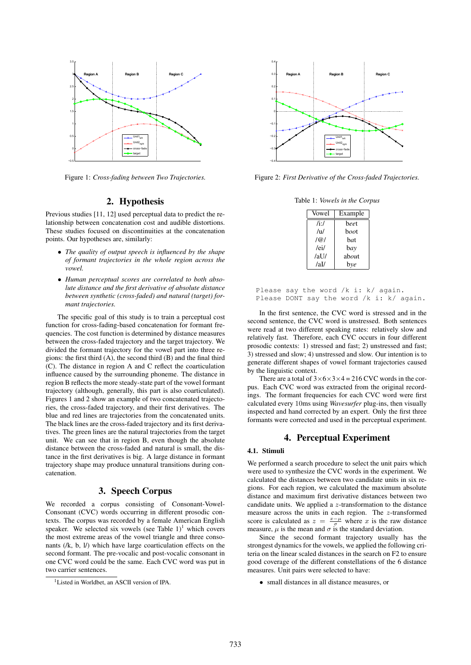

Figure 1: *Cross-fading between Two Trajectories.*

## 2. Hypothesis

Previous studies [11, 12] used perceptual data to predict the relationship between concatenation cost and audible distortions. These studies focused on discontinuities at the concatenation points. Our hypotheses are, similarly:

- *The quality of output speech is influenced by the shape of formant trajectories in the whole region across the vowel.*
- *Human perceptual scores are correlated to both absolute distance and the first derivative of absolute distance between synthetic (cross-faded) and natural (target) formant trajectories.*

The specific goal of this study is to train a perceptual cost function for cross-fading-based concatenation for formant frequencies. The cost function is determined by distance measures between the cross-faded trajectory and the target trajectory. We divided the formant trajectory for the vowel part into three regions: the first third (A), the second third (B) and the final third (C). The distance in region A and C reflect the coarticulation influence caused by the surrounding phoneme. The distance in region B reflects the more steady-state part of the vowel formant trajectory (although, generally, this part is also coarticulated). Figures 1 and 2 show an example of two concatenated trajectories, the cross-faded trajectory, and their first derivatives. The blue and red lines are trajectories from the concatenated units. The black lines are the cross-faded trajectory and its first derivatives. The green lines are the natural trajectories from the target unit. We can see that in region B, even though the absolute distance between the cross-faded and natural is small, the distance in the first derivatives is big. A large distance in formant trajectory shape may produce unnatural transitions during concatenation.

### 3. Speech Corpus

We recorded a corpus consisting of Consonant-Vowel-Consonant (CVC) words occurring in different prosodic contexts. The corpus was recorded by a female American English speaker. We selected six vowels (see Table  $1$ )<sup>1</sup> which covers the most extreme areas of the vowel triangle and three consonants (/k, b, l/) which have large coarticulation effects on the second formant. The pre-vocalic and post-vocalic consonant in one CVC word could be the same. Each CVC word was put in two carrier sentences.



Figure 2: *First Derivative of the Cross-faded Trajectories.*

Table 1: *Vowels in the Corpus*

| Vowel          | Example     |  |
|----------------|-------------|--|
| $/$ i:/        | heet        |  |
| $/\mathrm{u}/$ | <i>hoot</i> |  |
| $ $ (a) $ $    | hat         |  |
| /ei/           | bav         |  |
| /aU/           | about       |  |
| /all           | bye         |  |

| Please say the word $/k$ i: $k/$ again. |  |  |  |                                              |
|-----------------------------------------|--|--|--|----------------------------------------------|
|                                         |  |  |  | Please DONT say the word $/k$ i: $k/$ again. |

In the first sentence, the CVC word is stressed and in the second sentence, the CVC word is unstressed. Both sentences were read at two different speaking rates: relatively slow and relatively fast. Therefore, each CVC occurs in four different prosodic contexts: 1) stressed and fast; 2) unstressed and fast; 3) stressed and slow; 4) unstressed and slow. Our intention is to generate different shapes of vowel formant trajectories caused by the linguistic context.

There are a total of  $3\times6\times3\times4=216$  CVC words in the corpus. Each CVC word was extracted from the original recordings. The formant frequencies for each CVC word were first calculated every 10ms using *Wavesurfer* plug-ins, then visually inspected and hand corrected by an expert. Only the first three formants were corrected and used in the perceptual experiment.

### 4. Perceptual Experiment

#### 4.1. Stimuli

We performed a search procedure to select the unit pairs which were used to synthesize the CVC words in the experiment. We calculated the distances between two candidate units in six regions. For each region, we calculated the maximum absolute distance and maximum first derivative distances between two candidate units. We applied a z-transformation to the distance measure across the units in each region. The z-transformed score is calculated as  $z = \frac{x-\mu}{\sigma}$  where x is the raw distance measure,  $\mu$  is the mean and  $\sigma$  is the standard deviation.

Since the second formant trajectory usually has the strongest dynamics for the vowels, we applied the following criteria on the linear scaled distances in the search on F2 to ensure good coverage of the different constellations of the 6 distance measures. Unit pairs were selected to have:

• small distances in all distance measures, or

<sup>&</sup>lt;sup>1</sup>Listed in Worldbet, an ASCII version of IPA.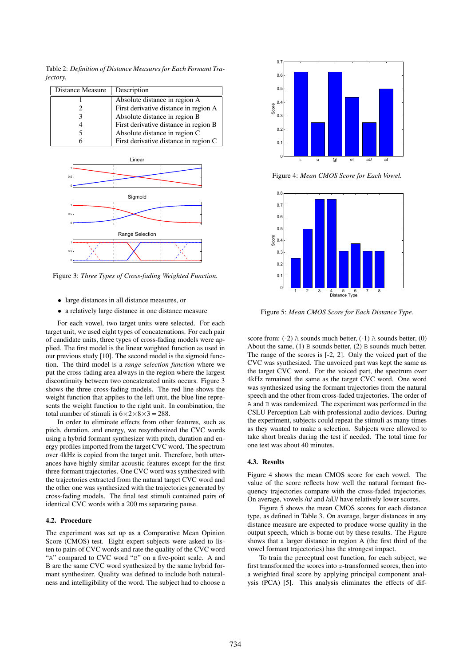Table 2: *Definition of Distance Measures for Each Formant Trajectory.*

| Distance Measure | Description                           |
|------------------|---------------------------------------|
|                  | Absolute distance in region A         |
|                  | First derivative distance in region A |
|                  | Absolute distance in region B         |
|                  | First derivative distance in region B |
|                  | Absolute distance in region C         |
|                  | First derivative distance in region C |



Figure 3: *Three Types of Cross-fading Weighted Function.*

- large distances in all distance measures, or
- a relatively large distance in one distance measure

For each vowel, two target units were selected. For each target unit, we used eight types of concatenations. For each pair of candidate units, three types of cross-fading models were applied. The first model is the linear weighted function as used in our previous study [10]. The second model is the sigmoid function. The third model is a *range selection function* where we put the cross-fading area always in the region where the largest discontinuity between two concatenated units occurs. Figure 3 shows the three cross-fading models. The red line shows the weight function that applies to the left unit, the blue line represents the weight function to the right unit. In combination, the total number of stimuli is  $6 \times 2 \times 8 \times 3 = 288$ .

In order to eliminate effects from other features, such as pitch, duration, and energy, we resynthesized the CVC words using a hybrid formant synthesizer with pitch, duration and energy profiles imported from the target CVC word. The spectrum over 4kHz is copied from the target unit. Therefore, both utterances have highly similar acoustic features except for the first three formant trajectories. One CVC word was synthesized with the trajectories extracted from the natural target CVC word and the other one was synthesized with the trajectories generated by cross-fading models. The final test stimuli contained pairs of identical CVC words with a 200 ms separating pause.

#### 4.2. Procedure

The experiment was set up as a Comparative Mean Opinion Score (CMOS) test. Eight expert subjects were asked to listen to pairs of CVC words and rate the quality of the CVC word "A" compared to CVC word "B" on a five-point scale. A and B are the same CVC word synthesized by the same hybrid formant synthesizer. Quality was defined to include both naturalness and intelligibility of the word. The subject had to choose a



Figure 4: *Mean CMOS Score for Each Vowel.*



Figure 5: *Mean CMOS Score for Each Distance Type.*

score from: (-2) A sounds much better, (-1) A sounds better, (0) About the same,  $(1)$  B sounds better,  $(2)$  B sounds much better. The range of the scores is [-2, 2]. Only the voiced part of the CVC was synthesized. The unvoiced part was kept the same as the target CVC word. For the voiced part, the spectrum over 4kHz remained the same as the target CVC word. One word was synthesized using the formant trajectories from the natural speech and the other from cross-faded trajectories. The order of A and B was randomized. The experiment was performed in the CSLU Perception Lab with professional audio devices. During the experiment, subjects could repeat the stimuli as many times as they wanted to make a selection. Subjects were allowed to take short breaks during the test if needed. The total time for one test was about 40 minutes.

#### 4.3. Results

Figure 4 shows the mean CMOS score for each vowel. The value of the score reflects how well the natural formant frequency trajectories compare with the cross-faded trajectories. On average, vowels /u/ and /aU/ have relatively lower scores.

Figure 5 shows the mean CMOS scores for each distance type, as defined in Table 3. On average, larger distances in any distance measure are expected to produce worse quality in the output speech, which is borne out by these results. The Figure shows that a larger distance in region A (the first third of the vowel formant trajectories) has the strongest impact.

To train the perceptual cost function, for each subject, we first transformed the scores into  $z$ -transformed scores, then into a weighted final score by applying principal component analysis (PCA) [5]. This analysis eliminates the effects of dif-